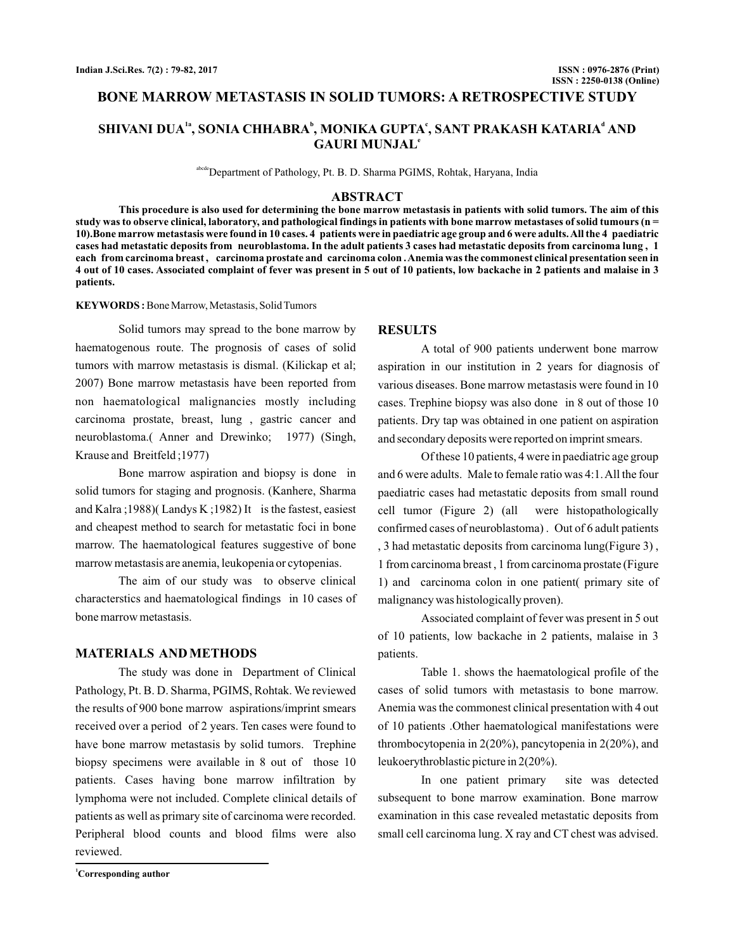### **BONE MARROW METASTASIS IN SOLID TUMORS: A RETROSPECTIVE STUDY**

# $\mathbf{SHIVANI}$   $\mathbf{DUA}^\mathbf{a}$ ,  $\mathbf{SONIA}$   $\mathbf{CHHABRA}^\mathbf{b},$   $\mathbf{MONIKA}$   $\mathbf{GUPTA}^\mathbf{c},$   $\mathbf{SANT}$   $\mathbf{PRAKASH}$   $\mathbf{KATARIA}^\mathbf{d}$   $\mathbf{AND}$ **GAURI MUNJAL e**

abcdeDepartment of Pathology, Pt. B. D. Sharma PGIMS, Rohtak, Haryana, India

#### **ABSTRACT**

**This procedure is also used for determining the bone marrow metastasis in patients with solid tumors. The aim of this study was to observe clinical, laboratory, and pathological findings in patients with bone marrow metastases of solid tumours (n = 10).Bone marrow metastasis were found in 10 cases. 4 patients were in paediatric age group and 6 were adults.All the 4 paediatric cases had metastatic deposits from neuroblastoma. In the adult patients 3 cases had metastatic deposits from carcinoma lung , 1 each from carcinoma breast , carcinoma prostate and carcinoma colon .Anemia was the commonest clinical presentation seen in 4 out of 10 cases. Associated complaint of fever was present in 5 out of 10 patients, low backache in 2 patients and malaise in 3 patients.**

#### KEYWORDS: Bone Marrow, Metastasis, Solid Tumors

Solid tumors may spread to the bone marrow by haematogenous route. The prognosis of cases of solid tumors with marrow metastasis is dismal. (Kilickap et al; 2007) Bone marrow metastasis have been reported from non haematological malignancies mostly including carcinoma prostate, breast, lung , gastric cancer and neuroblastoma.( Anner and Drewinko; 1977) (Singh, Krause and Breitfeld ;1977)

Bone marrow aspiration and biopsy is done in solid tumors for staging and prognosis. (Kanhere, Sharma and Kalra ;1988)( Landys K ;1982) It is the fastest, easiest and cheapest method to search for metastatic foci in bone marrow. The haematological features suggestive of bone marrow metastasis are anemia, leukopenia or cytopenias.

The aim of our study was to observe clinical characterstics and haematological findings in 10 cases of bone marrow metastasis.

### **MATERIALS AND METHODS**

The study was done in Department of Clinical Pathology, Pt. B. D. Sharma, PGIMS, Rohtak. We reviewed the results of 900 bone marrow aspirations/imprint smears received over a period of 2 years. Ten cases were found to have bone marrow metastasis by solid tumors. Trephine biopsy specimens were available in 8 out of those 10 patients. Cases having bone marrow infiltration by lymphoma were not included. Complete clinical details of patients as well as primary site of carcinoma were recorded. Peripheral blood counts and blood films were also reviewed.

#### **RESULTS**

A total of 900 patients underwent bone marrow aspiration in our institution in 2 years for diagnosis of various diseases. Bone marrow metastasis were found in 10 cases. Trephine biopsy was also done in 8 out of those 10 patients. Dry tap was obtained in one patient on aspiration and secondary deposits were reported on imprint smears.

Of these 10 patients, 4 were in paediatric age group and 6 were adults. Male to female ratio was 4:1.All the four paediatric cases had metastatic deposits from small round cell tumor (Figure 2) (all were histopathologically confirmed cases of neuroblastoma) . Out of 6 adult patients , 3 had metastatic deposits from carcinoma lung(Figure 3) , 1 from carcinoma breast , 1 from carcinoma prostate (Figure 1) and carcinoma colon in one patient( primary site of malignancy was histologically proven).

Associated complaint of fever was present in 5 out of 10 patients, low backache in 2 patients, malaise in 3 patients.

Table 1. shows the haematological profile of the cases of solid tumors with metastasis to bone marrow. Anemia was the commonest clinical presentation with 4 out of 10 patients .Other haematological manifestations were thrombocytopenia in 2(20%), pancytopenia in 2(20%), and leukoerythroblastic picture in 2(20%).

In one patient primary site was detected subsequent to bone marrow examination. Bone marrow examination in this case revealed metastatic deposits from small cell carcinoma lung. X ray and CT chest was advised.

**<sup>1</sup>Corresponding author**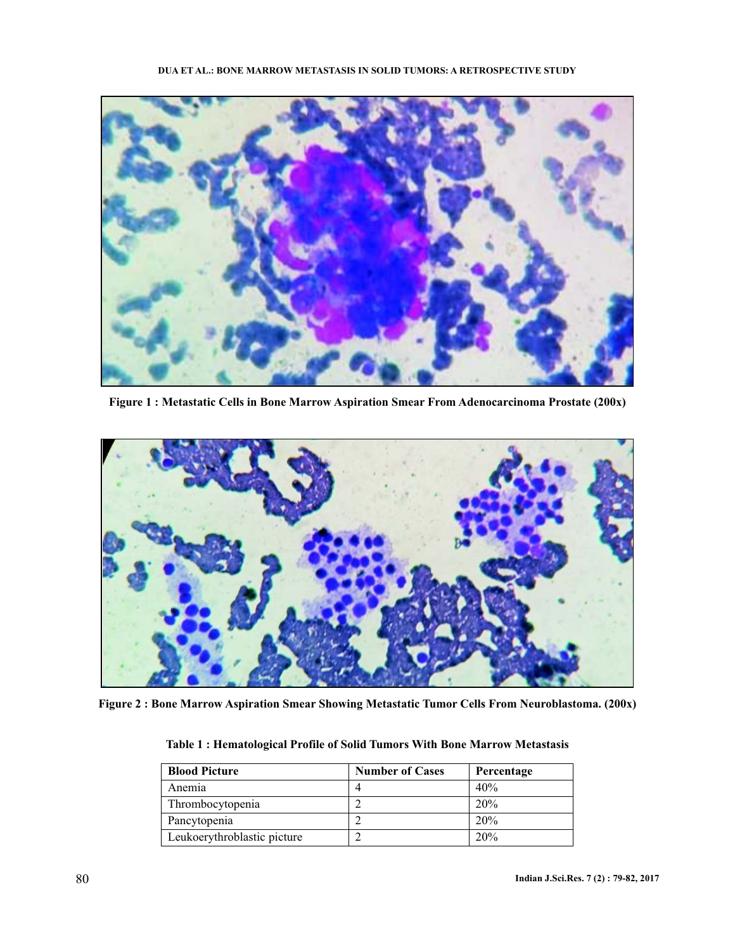

**Figure 1 : Metastatic Cells in Bone Marrow Aspiration Smear From Adenocarcinoma Prostate (200x)**



**Figure 2 : Bone Marrow Aspiration Smear Showing Metastatic Tumor Cells From Neuroblastoma. (200x)**

| <b>Blood Picture</b>        | <b>Number of Cases</b> | Percentage |
|-----------------------------|------------------------|------------|
| Anemia                      |                        | 40%        |
| Thrombocytopenia            |                        | 20%        |
| Pancytopenia                |                        | 20%        |
| Leukoerythroblastic picture |                        | 20%        |

**Table 1 : Hematological Profile of Solid Tumors With Bone Marrow Metastasis**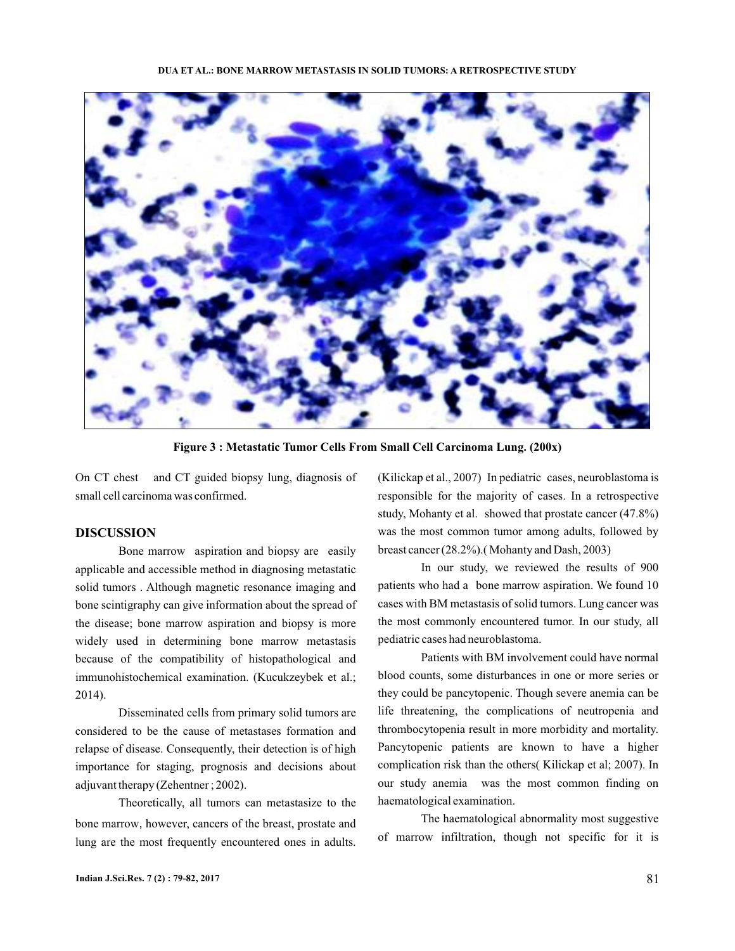

**Figure 3 : Metastatic Tumor Cells From Small Cell Carcinoma Lung. (200x)**

On CT chest and CT guided biopsy lung, diagnosis of small cell carcinoma was confirmed.

### **DISCUSSION**

Bone marrow aspiration and biopsy are easily applicable and accessible method in diagnosing metastatic solid tumors . Although magnetic resonance imaging and bone scintigraphy can give information about the spread of the disease; bone marrow aspiration and biopsy is more widely used in determining bone marrow metastasis because of the compatibility of histopathological and immunohistochemical examination. (Kucukzeybek et al.; 2014).

Disseminated cells from primary solid tumors are considered to be the cause of metastases formation and relapse of disease. Consequently, their detection is of high importance for staging, prognosis and decisions about adjuvant therapy (Zehentner ; 2002).

Theoretically, all tumors can metastasize to the bone marrow, however, cancers of the breast, prostate and lung are the most frequently encountered ones in adults.

(Kilickap et al., 2007) In pediatric cases, neuroblastoma is responsible for the majority of cases. In a retrospective study, Mohanty et al. showed that prostate cancer (47.8%) was the most common tumor among adults, followed by breast cancer (28.2%).( Mohanty and Dash, 2003)

In our study, we reviewed the results of 900 patients who had a bone marrow aspiration. We found 10 cases with BM metastasis of solid tumors. Lung cancer was the most commonly encountered tumor. In our study, all pediatric cases had neuroblastoma.

Patients with BM involvement could have normal blood counts, some disturbances in one or more series or they could be pancytopenic. Though severe anemia can be life threatening, the complications of neutropenia and thrombocytopenia result in more morbidity and mortality. Pancytopenic patients are known to have a higher complication risk than the others( Kilickap et al; 2007). In our study anemia was the most common finding on haematological examination.

The haematological abnormality most suggestive of marrow infiltration, though not specific for it is